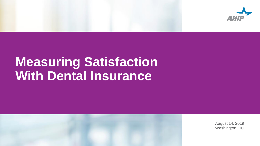

## **Measuring Satisfaction With Dental Insurance**



August 14, 2019 Washington, DC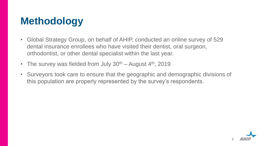### **Methodology**

- Global Strategy Group, on behalf of AHIP, conducted an online survey of 529 dental insurance enrollees who have visited their dentist, oral surgeon, orthodontist, or other dental specialist within the last year.
- The survey was fielded from July  $30<sup>th</sup>$  August  $4<sup>th</sup>$ , 2019
- Surveyors took care to ensure that the geographic and demographic divisions of this population are properly represented by the survey's respondents.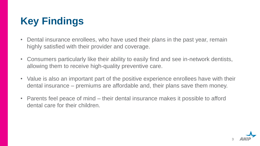### **Key Findings**

- Dental insurance enrollees, who have used their plans in the past year, remain highly satisfied with their provider and coverage.
- Consumers particularly like their ability to easily find and see in-network dentists, allowing them to receive high-quality preventive care.
- Value is also an important part of the positive experience enrollees have with their dental insurance – premiums are affordable and, their plans save them money.
- Parents feel peace of mind their dental insurance makes it possible to afford dental care for their children.

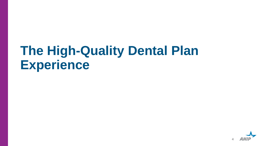## **The High-Quality Dental Plan Experience**

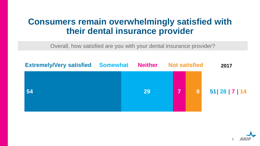#### **Consumers remain overwhelmingly satisfied with their dental insurance provider**

Overall, how satisfied are you with your dental insurance provider?



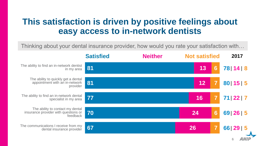#### **This satisfaction is driven by positive feelings about easy access to in-network dentists**

Thinking about your dental insurance provider, how would you rate your satisfaction with…

|                                                                                      | <b>Satisfied</b> | <b>Neither</b> | <b>Not satisfied</b> |                 | 2017        |
|--------------------------------------------------------------------------------------|------------------|----------------|----------------------|-----------------|-------------|
| The ability to find an in-network dentist<br>in my area                              | 81               |                | 13                   | $6\phantom{1}6$ | 78   14   8 |
| The ability to quickly get a dental<br>appointment with an in-network<br>provider    | 81               |                | 12                   |                 | 80   15   5 |
| The ability to find an in-network dental<br>specialist in my area                    | 77               |                | 16                   |                 | 22 7<br>71  |
| The ability to contact my dental<br>insurance provider with questions or<br>feedback | 70               |                | 24                   | 6               | 69   26   5 |
| The communications I receive from my<br>dental insurance provider                    | 67               |                | 26                   |                 | 66 29 5     |
|                                                                                      |                  |                |                      |                 | 6           |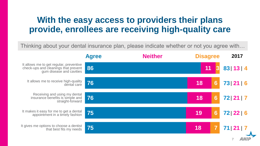#### **With the easy access to providers their plans provide, enrollees are receiving high-quality care**

Thinking about your dental insurance plan, please indicate whether or not you agree with…

|                                                                                                             | <b>Agree</b> | <b>Neither</b> | <b>Disagree</b> |                 | 2017        |
|-------------------------------------------------------------------------------------------------------------|--------------|----------------|-----------------|-----------------|-------------|
| It allows me to get regular, preventive<br>check-ups and cleanings that prevent<br>gum disease and cavities | 86           |                | 11              |                 | 83 13 4     |
| It allows me to receive high-quality<br>dental care                                                         | 76           |                | 18              | $6\phantom{1}6$ | 73 21 6     |
| Receiving and using my dental<br>insurance benefits is simple and<br>straight-forward                       | 76           |                | 18              | 6               | 72 21 7     |
| It makes it easy for me to get a dental<br>appointment in a timely fashion                                  | 75           |                | 19              | $6\phantom{1}6$ | 72   22   6 |
| It gives me options to choose a dentist<br>that best fits my needs                                          | 75           |                | 18              |                 | 71   21   7 |
|                                                                                                             |              |                |                 |                 |             |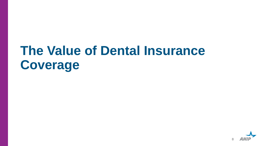# **The Value of Dental Insurance Coverage**

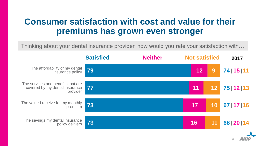#### **Consumer satisfaction with cost and value for their premiums has grown even stronger**

Thinking about your dental insurance provider, how would you rate your satisfaction with…

|                                                                                  | <b>Satisfied</b> | <b>Neither</b> | <b>Not satisfied</b> |    | 2017         |
|----------------------------------------------------------------------------------|------------------|----------------|----------------------|----|--------------|
| The affordability of my dental<br>insurance policy                               | 79               |                | 12                   | 9  | 74   15   11 |
| The services and benefits that are<br>covered by my dental insurance<br>provider | 77               |                | 11                   | 12 | 75   12   13 |
| The value I receive for my monthly<br>premium                                    | 73               |                | 17                   | 10 | 67   17   16 |
| The savings my dental insurance<br>policy delivers                               | 73               |                | 16                   | 11 | 66   20   14 |
|                                                                                  |                  |                |                      |    |              |

9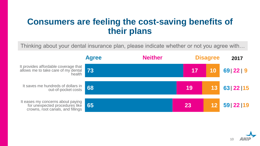#### **Consumers are feeling the cost-saving benefits of their plans**

Thinking about your dental insurance plan, please indicate whether or not you agree with…

|                                                                                                          | <b>Agree</b> | <b>Neither</b> | <b>Disagree</b> |    | 2017     |
|----------------------------------------------------------------------------------------------------------|--------------|----------------|-----------------|----|----------|
| It provides affordable coverage that<br>allows me to take care of my dental 73<br>health                 |              |                | 17              | 10 | 69 22 9  |
| It saves me hundreds of dollars in out-of-pocket costs 68                                                |              |                | 19              | 13 | 63 22 15 |
| It eases my concerns about paying<br>for unexpected procedures like<br>crowns, root canals, and fillings | l 65         |                | 23              |    | 59 22 19 |

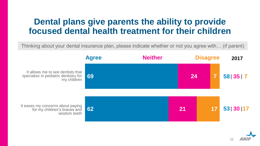#### **Dental plans give parents the ability to provide focused dental health treatment for their children**

Thinking about your dental insurance plan, please indicate whether or not you agree with… (if parent)